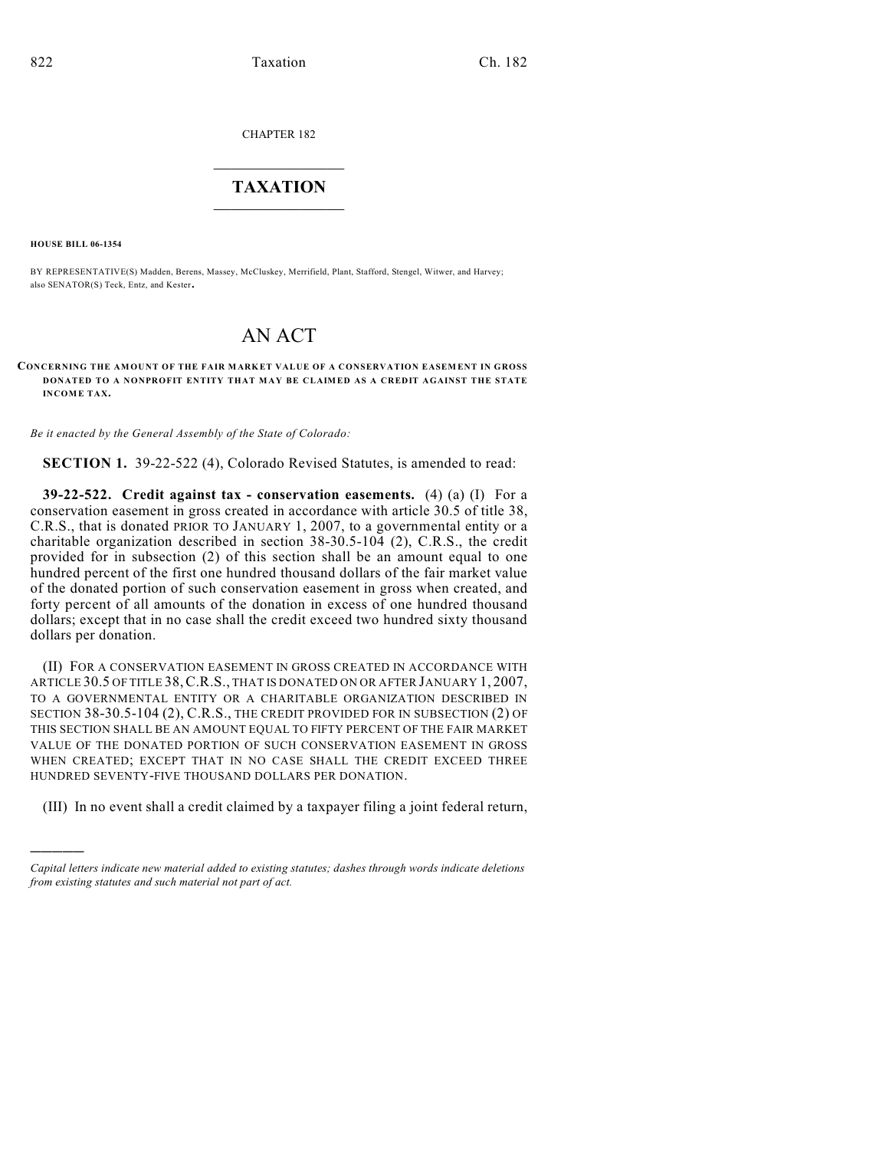CHAPTER 182

## $\overline{\phantom{a}}$  . The set of the set of the set of the set of the set of the set of the set of the set of the set of the set of the set of the set of the set of the set of the set of the set of the set of the set of the set o **TAXATION**  $\_$

**HOUSE BILL 06-1354**

)))))

BY REPRESENTATIVE(S) Madden, Berens, Massey, McCluskey, Merrifield, Plant, Stafford, Stengel, Witwer, and Harvey; also SENATOR(S) Teck, Entz, and Kester.

## AN ACT

## **CONCERNING THE AMOUNT OF THE FAIR MARKET VALUE OF A CONSERVATION EASEMENT IN GROSS DONATED TO A NONPROFIT ENTITY THAT MAY BE CLAIMED AS A CREDIT AGAINST THE STATE INCOME TAX.**

*Be it enacted by the General Assembly of the State of Colorado:*

**SECTION 1.** 39-22-522 (4), Colorado Revised Statutes, is amended to read:

**39-22-522. Credit against tax - conservation easements.** (4) (a) (I) For a conservation easement in gross created in accordance with article 30.5 of title 38, C.R.S., that is donated PRIOR TO JANUARY 1, 2007, to a governmental entity or a charitable organization described in section 38-30.5-104 (2), C.R.S., the credit provided for in subsection (2) of this section shall be an amount equal to one hundred percent of the first one hundred thousand dollars of the fair market value of the donated portion of such conservation easement in gross when created, and forty percent of all amounts of the donation in excess of one hundred thousand dollars; except that in no case shall the credit exceed two hundred sixty thousand dollars per donation.

(II) FOR A CONSERVATION EASEMENT IN GROSS CREATED IN ACCORDANCE WITH ARTICLE 30.5 OF TITLE 38,C.R.S., THAT IS DONATED ON OR AFTER JANUARY 1, 2007, TO A GOVERNMENTAL ENTITY OR A CHARITABLE ORGANIZATION DESCRIBED IN SECTION 38-30.5-104 (2), C.R.S., THE CREDIT PROVIDED FOR IN SUBSECTION (2) OF THIS SECTION SHALL BE AN AMOUNT EQUAL TO FIFTY PERCENT OF THE FAIR MARKET VALUE OF THE DONATED PORTION OF SUCH CONSERVATION EASEMENT IN GROSS WHEN CREATED; EXCEPT THAT IN NO CASE SHALL THE CREDIT EXCEED THREE HUNDRED SEVENTY-FIVE THOUSAND DOLLARS PER DONATION.

(III) In no event shall a credit claimed by a taxpayer filing a joint federal return,

*Capital letters indicate new material added to existing statutes; dashes through words indicate deletions from existing statutes and such material not part of act.*